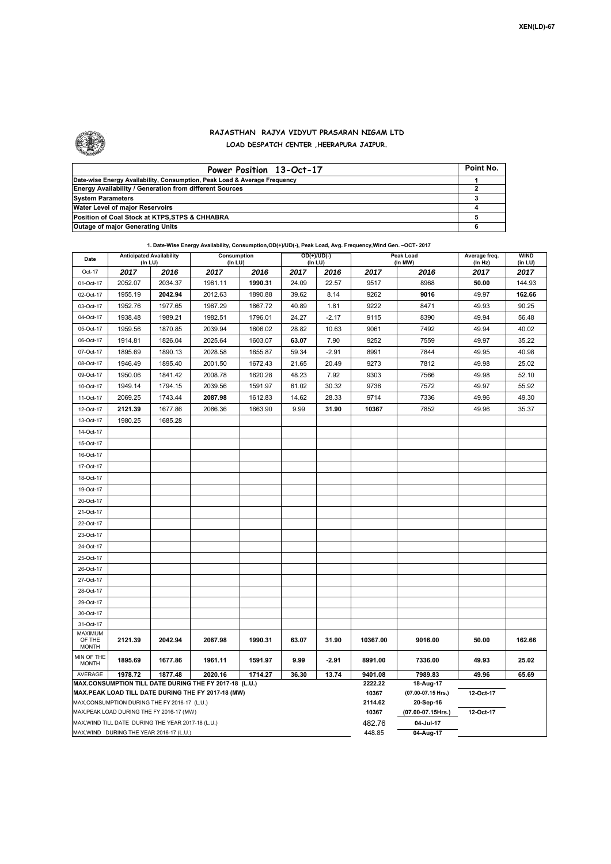

## **RAJASTHAN RAJYA VIDYUT PRASARAN NIGAM LTD LOAD DESPATCH CENTER ,HEERAPURA JAIPUR.**

| Power Position 13-Oct-17                                                  | Point No. |
|---------------------------------------------------------------------------|-----------|
| Date-wise Energy Availability, Consumption, Peak Load & Average Frequency |           |
| <b>Energy Availability / Generation from different Sources</b>            |           |
| <b>System Parameters</b>                                                  |           |
| Water Level of major Reservoirs                                           |           |
| Position of Coal Stock at KTPS, STPS & CHHABRA                            |           |
| <b>Outage of major Generating Units</b>                                   |           |

|  |  |  | 1. Date-Wise Energy Availability, Consumption, OD(+)/UD(-), Peak Load, Avg. Frequency, Wind Gen. -- OCT- 2017 |
|--|--|--|---------------------------------------------------------------------------------------------------------------|

| Date                                                                                               | <b>Anticipated Availability</b><br>(In LU) |         | Consumption<br>(In LU) |                                | $OD(+)/UD(-)$<br>(In LU) |           | Peak Load<br>(In MW) |           | Average freq.<br>(In Hz) | <b>WIND</b><br>(in LU) |
|----------------------------------------------------------------------------------------------------|--------------------------------------------|---------|------------------------|--------------------------------|--------------------------|-----------|----------------------|-----------|--------------------------|------------------------|
| Oct-17                                                                                             | 2017                                       | 2016    | 2017                   | 2016                           | 2017                     | 2016      | 2017                 | 2016      | 2017                     | 2017                   |
| 01-Oct-17                                                                                          | 2052.07                                    | 2034.37 | 1961.11                | 1990.31                        | 24.09                    | 22.57     | 9517                 | 8968      | 50.00                    | 144.93                 |
| 02-Oct-17                                                                                          | 1955.19                                    | 2042.94 | 2012.63                | 1890.88                        | 39.62                    | 8.14      | 9262                 | 9016      | 49.97                    | 162.66                 |
| 03-Oct-17                                                                                          | 1952.76                                    | 1977.65 | 1967.29                | 1867.72                        | 40.89                    | 1.81      | 9222                 | 8471      | 49.93                    | 90.25                  |
| 04-Oct-17                                                                                          | 1938.48                                    | 1989.21 | 1982.51                | 1796.01                        | 24.27                    | $-2.17$   | 9115                 | 8390      | 49.94                    | 56.48                  |
| 05-Oct-17                                                                                          | 1959.56                                    | 1870.85 | 2039.94                | 1606.02                        | 28.82                    | 10.63     | 9061                 | 7492      | 49.94                    | 40.02                  |
| 06-Oct-17                                                                                          | 1914.81                                    | 1826.04 | 2025.64                | 1603.07                        | 63.07                    | 7.90      | 9252                 | 7559      | 49.97                    | 35.22                  |
| 07-Oct-17                                                                                          | 1895.69                                    | 1890.13 | 2028.58                | 1655.87                        | 59.34                    | $-2.91$   | 8991                 | 7844      | 49.95                    | 40.98                  |
| 08-Oct-17                                                                                          | 1946.49                                    | 1895.40 | 2001.50                | 1672.43                        | 21.65                    | 20.49     | 9273                 | 7812      | 49.98                    | 25.02                  |
| 09-Oct-17                                                                                          | 1950.06                                    | 1841.42 | 2008.78                | 1620.28                        | 48.23                    | 7.92      | 9303                 | 7566      | 49.98                    | 52.10                  |
| 10-Oct-17                                                                                          | 1949.14                                    | 1794.15 | 2039.56                | 1591.97                        | 61.02                    | 30.32     | 9736                 | 7572      | 49.97                    | 55.92                  |
| 11-Oct-17                                                                                          | 2069.25                                    | 1743.44 | 2087.98                | 1612.83                        | 14.62                    | 28.33     | 9714                 | 7336      | 49.96                    | 49.30                  |
| 12-Oct-17                                                                                          | 2121.39                                    | 1677.86 | 2086.36                | 1663.90                        | 9.99                     | 31.90     | 10367                | 7852      | 49.96                    | 35.37                  |
| 13-Oct-17                                                                                          | 1980.25                                    | 1685.28 |                        |                                |                          |           |                      |           |                          |                        |
| 14-Oct-17                                                                                          |                                            |         |                        |                                |                          |           |                      |           |                          |                        |
| 15-Oct-17                                                                                          |                                            |         |                        |                                |                          |           |                      |           |                          |                        |
| 16-Oct-17                                                                                          |                                            |         |                        |                                |                          |           |                      |           |                          |                        |
| 17-Oct-17                                                                                          |                                            |         |                        |                                |                          |           |                      |           |                          |                        |
| 18-Oct-17                                                                                          |                                            |         |                        |                                |                          |           |                      |           |                          |                        |
| 19-Oct-17                                                                                          |                                            |         |                        |                                |                          |           |                      |           |                          |                        |
| 20-Oct-17                                                                                          |                                            |         |                        |                                |                          |           |                      |           |                          |                        |
| 21-Oct-17                                                                                          |                                            |         |                        |                                |                          |           |                      |           |                          |                        |
| 22-Oct-17                                                                                          |                                            |         |                        |                                |                          |           |                      |           |                          |                        |
| 23-Oct-17                                                                                          |                                            |         |                        |                                |                          |           |                      |           |                          |                        |
| 24-Oct-17                                                                                          |                                            |         |                        |                                |                          |           |                      |           |                          |                        |
| 25-Oct-17                                                                                          |                                            |         |                        |                                |                          |           |                      |           |                          |                        |
| 26-Oct-17                                                                                          |                                            |         |                        |                                |                          |           |                      |           |                          |                        |
| 27-Oct-17                                                                                          |                                            |         |                        |                                |                          |           |                      |           |                          |                        |
| 28-Oct-17                                                                                          |                                            |         |                        |                                |                          |           |                      |           |                          |                        |
| 29-Oct-17                                                                                          |                                            |         |                        |                                |                          |           |                      |           |                          |                        |
| 30-Oct-17                                                                                          |                                            |         |                        |                                |                          |           |                      |           |                          |                        |
| 31-Oct-17                                                                                          |                                            |         |                        |                                |                          |           |                      |           |                          |                        |
| <b>MAXIMUM</b><br>OF THE<br><b>MONTH</b>                                                           | 2121.39                                    | 2042.94 | 2087.98                | 1990.31                        | 63.07                    | 31.90     | 10367.00             | 9016.00   | 50.00                    | 162.66                 |
| MIN OF THE<br><b>MONTH</b>                                                                         | 1895.69                                    | 1677.86 | 1961.11                | 1591.97                        | 9.99                     | $-2.91$   | 8991.00              | 7336.00   | 49.93                    | 25.02                  |
| AVERAGE                                                                                            | 1978.72                                    | 1877.48 | 2020.16                | 1714.27                        | 36.30                    | 13.74     | 9401.08              | 7989.83   | 49.96                    | 65.69                  |
| MAX.CONSUMPTION TILL DATE DURING THE FY 2017-18 (L.U.)                                             |                                            |         |                        | 2222.22                        | 18-Aug-17                |           |                      |           |                          |                        |
| MAX.PEAK LOAD TILL DATE DURING THE FY 2017-18 (MW)<br>MAX.CONSUMPTION DURING THE FY 2016-17 (L.U.) |                                            |         |                        | 10367<br>2114.62               | (07.00-07.15 Hrs.)       | 12-Oct-17 |                      |           |                          |                        |
| MAX.PEAK LOAD DURING THE FY 2016-17 (MW)                                                           |                                            |         | 10367                  | 20-Sep-16<br>(07.00-07.15Hrs.) | 12-Oct-17                |           |                      |           |                          |                        |
| MAX. WIND TILL DATE DURING THE YEAR 2017-18 (L.U.)                                                 |                                            |         |                        | 482.76                         | 04-Jul-17                |           |                      |           |                          |                        |
|                                                                                                    | MAX.WIND DURING THE YEAR 2016-17 (L.U.)    |         |                        |                                |                          |           | 448.85               | 04-Aug-17 |                          |                        |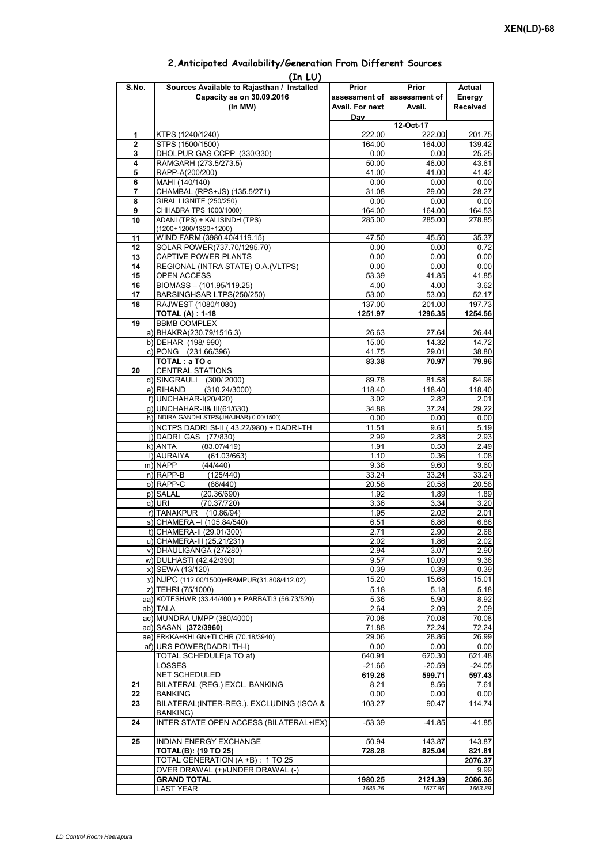|       | (In LU)                                         |                 |                             |                 |  |  |  |  |  |
|-------|-------------------------------------------------|-----------------|-----------------------------|-----------------|--|--|--|--|--|
| S.No. | Sources Available to Rajasthan / Installed      | Prior           | Prior                       | Actual          |  |  |  |  |  |
|       | Capacity as on 30.09.2016                       |                 | assessment of assessment of | Energy          |  |  |  |  |  |
|       | (In MW)                                         | Avail. For next | Avail.                      | <b>Received</b> |  |  |  |  |  |
|       |                                                 | Day             |                             |                 |  |  |  |  |  |
|       |                                                 | 12-Oct-17       |                             |                 |  |  |  |  |  |
| 1     | KTPS (1240/1240)                                | 222.00          | 222.00                      | 201.75          |  |  |  |  |  |
| 2     | STPS (1500/1500)                                | 164.00          | 164.00                      | 139.42          |  |  |  |  |  |
| 3     | DHOLPUR GAS CCPP (330/330)                      | 0.00            | 0.00                        | 25.25           |  |  |  |  |  |
| 4     | RAMGARH (273.5/273.5)                           | 50.00           | 46.00                       | 43.61           |  |  |  |  |  |
| 5     | RAPP-A(200/200)                                 | 41.00           | 41.00                       | 41.42           |  |  |  |  |  |
| 6     | MAHI (140/140)                                  | 0.00            | 0.00                        | 0.00            |  |  |  |  |  |
| 7     | CHAMBAL (RPS+JS) (135.5/271)                    | 31.08           | 29.00                       | 28.27           |  |  |  |  |  |
| 8     | <b>GIRAL LIGNITE (250/250)</b>                  | 0.00            | 0.00                        | 0.00            |  |  |  |  |  |
| 9     | CHHABRA TPS 1000/1000)                          | 164.00          | 164.00                      | 164.53          |  |  |  |  |  |
| 10    | ADANI (TPS) + KALISINDH (TPS)                   | 285.00          | 285.00                      | 278.85          |  |  |  |  |  |
|       | $(1200+1200/1320+1200)$                         |                 |                             |                 |  |  |  |  |  |
| 11    | WIND FARM (3980.40/4119.15)                     | 47.50           | 45.50                       | 35.37           |  |  |  |  |  |
| 12    | SOLAR POWER(737.70/1295.70)                     | 0.00            | 0.00                        | 0.72            |  |  |  |  |  |
| 13    | CAPTIVE POWER PLANTS                            | 0.00            | 0.00                        | 0.00            |  |  |  |  |  |
| 14    | REGIONAL (INTRA STATE) O.A. (VLTPS)             | 0.00            | 0.00                        | 0.00            |  |  |  |  |  |
| 15    | OPEN ACCESS                                     | 53.39           | 41.85                       | 41.85           |  |  |  |  |  |
| 16    | BIOMASS - (101.95/119.25)                       | 4.00            | 4.00                        | 3.62            |  |  |  |  |  |
| 17    | BARSINGHSAR LTPS(250/250)                       | 53.00           | 53.00                       | 52.17           |  |  |  |  |  |
| 18    | RAJWEST (1080/1080)                             | 137.00          | 201.00                      | 197.73          |  |  |  |  |  |
|       | <b>TOTAL (A): 1-18</b>                          | 1251.97         | 1296.35                     | 1254.56         |  |  |  |  |  |
| 19    | <b>BBMB COMPLEX</b>                             |                 |                             |                 |  |  |  |  |  |
|       | a) BHAKRA(230.79/1516.3)                        | 26.63           | 27.64                       | 26.44           |  |  |  |  |  |
|       |                                                 |                 |                             |                 |  |  |  |  |  |
|       | b) DEHAR (198/990)                              | 15.00           | 14.32                       | 14.72           |  |  |  |  |  |
|       | c) PONG (231.66/396)                            | 41.75           | 29.01                       | 38.80           |  |  |  |  |  |
|       | TOTAL: a TO c                                   | 83.38           | 70.97                       | 79.96           |  |  |  |  |  |
| 20    | <b>CENTRAL STATIONS</b>                         |                 |                             |                 |  |  |  |  |  |
|       | d) SINGRAULI (300/2000)                         | 89.78           | 81.58                       | 84.96           |  |  |  |  |  |
|       | (310.24/3000)<br>e) RIHAND                      | 118.40          | 118.40                      | 118.40          |  |  |  |  |  |
|       | f) UNCHAHAR-I(20/420)                           | 3.02            | 2.82                        | 2.01            |  |  |  |  |  |
|       | g) UNCHAHAR-II& III(61/630)                     | 34.88           | 37.24                       | 29.22           |  |  |  |  |  |
|       | h) INDIRA GANDHI STPS(JHAJHAR) 0.00/1500)       | 0.00            | 0.00                        | 0.00            |  |  |  |  |  |
|       | i) NCTPS DADRI St-II (43.22/980) + DADRI-TH     | 11.51           | 9.61                        | 5.19            |  |  |  |  |  |
|       | j) DADRI GAS (77/830)                           | 2.99            | 2.88                        | 2.93            |  |  |  |  |  |
|       | k) ANTA<br>(83.07/419)                          | 1.91            | 0.58                        | 2.49            |  |  |  |  |  |
|       | I) AURAIYA<br>(61.03/663)                       | 1.10            | 0.36                        | 1.08            |  |  |  |  |  |
|       | m) NAPP<br>(44/440)                             | 9.36            | 9.60                        | 9.60            |  |  |  |  |  |
|       | $n)$ RAPP-B<br>(125/440)                        | 33.24           | 33.24                       | 33.24           |  |  |  |  |  |
|       | o) RAPP-C<br>(88/440)                           | 20.58           | 20.58                       | 20.58           |  |  |  |  |  |
|       | p) SALAL<br>(20.36/690)                         | 1.92            | 1.89                        | 1.89            |  |  |  |  |  |
|       | (70.37/720)<br>q) URI                           | 3.36            | 3.34                        | 3.20            |  |  |  |  |  |
|       | r) TANAKPUR (10.86/94)                          | 1.95            | 2.02                        | 2.01            |  |  |  |  |  |
|       | s) CHAMERA - (105.84/540)                       | 6.51            | 6.86                        | 6.86            |  |  |  |  |  |
|       | t) CHAMERA-II (29.01/300)                       | 2.71            | 2.90                        | 2.68            |  |  |  |  |  |
|       | u) CHAMERA-III (25.21/231)                      | 2.02            | 1.86                        | 2.02            |  |  |  |  |  |
|       | v) DHAULIGANGA (27/280)                         | 2.94            | 3.07                        | 2.90            |  |  |  |  |  |
|       | w) DULHASTI (42.42/390)                         | 9.57            | 10.09                       | 9.36            |  |  |  |  |  |
|       | x) SEWA (13/120)                                | 0.39            | 0.39                        | 0.39            |  |  |  |  |  |
|       | y) NJPC (112.00/1500) + RAMPUR(31.808/412.02)   | 15.20           | 15.68                       | 15.01           |  |  |  |  |  |
|       | z) TEHRI (75/1000)                              | 5.18            | 5.18                        | 5.18            |  |  |  |  |  |
|       | aa) KOTESHWR (33.44/400) + PARBATI3 (56.73/520) |                 | 5.90                        | 8.92            |  |  |  |  |  |
|       |                                                 | 5.36            |                             |                 |  |  |  |  |  |
|       | ab) TALA                                        | 2.64            | 2.09                        | 2.09            |  |  |  |  |  |
|       | ac) MUNDRA UMPP (380/4000)                      | 70.08           | 70.08                       | 70.08           |  |  |  |  |  |
|       | ad) SASAN (372/3960)                            | 71.88           | 72.24                       | 72.24           |  |  |  |  |  |
|       | ae) FRKKA+KHLGN+TLCHR (70.18/3940)              | 29.06           | 28.86                       | 26.99           |  |  |  |  |  |
|       | af) URS POWER(DADRI TH-I)                       | 0.00            | 0.00                        | 0.00            |  |  |  |  |  |
|       | TOTAL SCHEDULE(a TO af)                         | 640.91          | 620.30                      | 621.48          |  |  |  |  |  |
|       | LOSSES                                          | $-21.66$        | $-20.59$                    | $-24.05$        |  |  |  |  |  |
|       | NET SCHEDULED                                   | 619.26          | 599.71                      | 597.43          |  |  |  |  |  |
| 21    | BILATERAL (REG.) EXCL. BANKING                  | 8.21            | 8.56                        | 7.61            |  |  |  |  |  |
| 22    | <b>BANKING</b>                                  | 0.00            | 0.00                        | 0.00            |  |  |  |  |  |
| 23    | BILATERAL(INTER-REG.). EXCLUDING (ISOA &        | 103.27          | 90.47                       | 114.74          |  |  |  |  |  |
|       | BANKING)                                        |                 |                             |                 |  |  |  |  |  |
| 24    | INTER STATE OPEN ACCESS (BILATERAL+IEX)         | $-53.39$        | $-41.85$                    | $-41.85$        |  |  |  |  |  |
|       |                                                 |                 |                             |                 |  |  |  |  |  |
| 25    | INDIAN ENERGY EXCHANGE                          | 50.94           | 143.87                      | 143.87          |  |  |  |  |  |
|       | <b>TOTAL(B): (19 TO 25)</b>                     | 728.28          | 825.04                      | 821.81          |  |  |  |  |  |
|       | TOTAL GENERATION (A +B) : 1 TO 25               |                 |                             | 2076.37         |  |  |  |  |  |
|       | OVER DRAWAL (+)/UNDER DRAWAL (-)                |                 |                             | 9.99            |  |  |  |  |  |
|       | <b>GRAND TOTAL</b>                              | 1980.25         | 2121.39                     | 2086.36         |  |  |  |  |  |
|       | <b>LAST YEAR</b>                                | 1685.26         | 1677.86                     | 1663.89         |  |  |  |  |  |

## **2.Anticipated Availability/Generation From Different Sources**